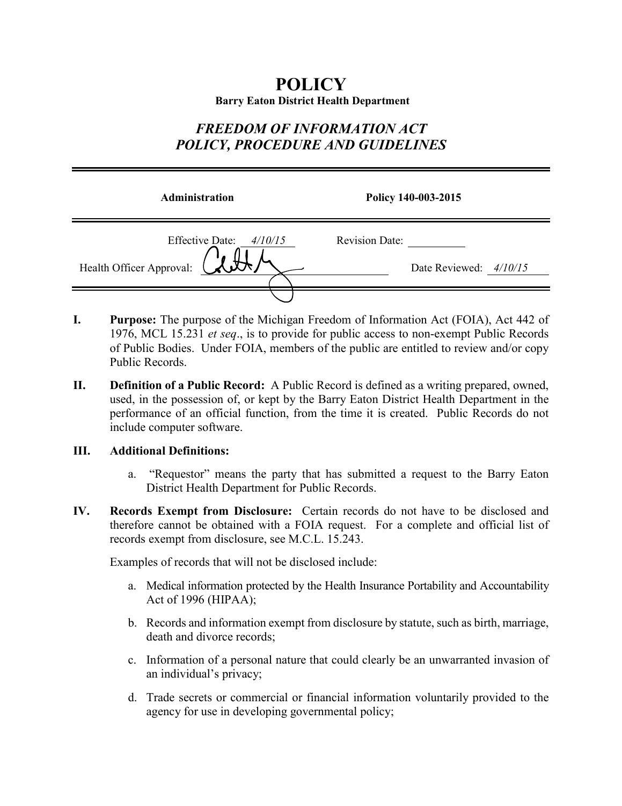# **POLICY Barry Eaton District Health Department**

# *FREEDOM OF INFORMATION ACT POLICY, PROCEDURE AND GUIDELINES*

| <b>Administration</b>                                           | Policy 140-003-2015                             |
|-----------------------------------------------------------------|-------------------------------------------------|
| <b>Effective Date:</b><br>4/10/15<br>Health Officer Approval: W | <b>Revision Date:</b><br>Date Reviewed: 4/10/15 |
|                                                                 |                                                 |

- **I. Purpose:** The purpose of the Michigan Freedom of Information Act (FOIA), Act 442 of 1976, MCL 15.231 *et seq*., is to provide for public access to non-exempt Public Records of Public Bodies. Under FOIA, members of the public are entitled to review and/or copy Public Records.
- **II. Definition of a Public Record:** A Public Record is defined as a writing prepared, owned, used, in the possession of, or kept by the Barry Eaton District Health Department in the performance of an official function, from the time it is created. Public Records do not include computer software.

# **III. Additional Definitions:**

- a. "Requestor" means the party that has submitted a request to the Barry Eaton District Health Department for Public Records.
- **IV. Records Exempt from Disclosure:** Certain records do not have to be disclosed and therefore cannot be obtained with a FOIA request. For a complete and official list of records exempt from disclosure, see M.C.L. 15.243.

Examples of records that will not be disclosed include:

- a. Medical information protected by the Health Insurance Portability and Accountability Act of 1996 (HIPAA);
- b. Records and information exempt from disclosure by statute, such as birth, marriage, death and divorce records;
- c. Information of a personal nature that could clearly be an unwarranted invasion of an individual's privacy;
- d. Trade secrets or commercial or financial information voluntarily provided to the agency for use in developing governmental policy;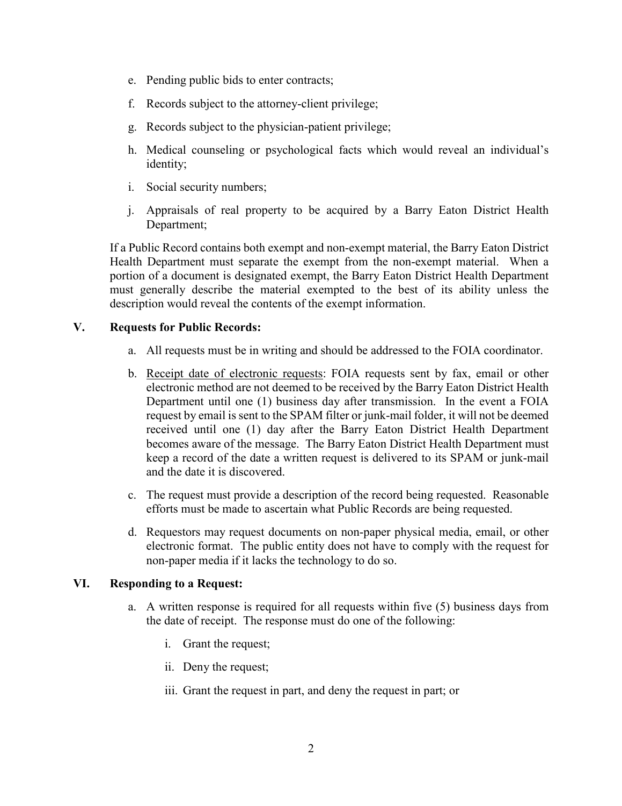- e. Pending public bids to enter contracts;
- f. Records subject to the attorney-client privilege;
- g. Records subject to the physician-patient privilege;
- h. Medical counseling or psychological facts which would reveal an individual's identity;
- i. Social security numbers;
- j. Appraisals of real property to be acquired by a Barry Eaton District Health Department;

If a Public Record contains both exempt and non-exempt material, the Barry Eaton District Health Department must separate the exempt from the non-exempt material. When a portion of a document is designated exempt, the Barry Eaton District Health Department must generally describe the material exempted to the best of its ability unless the description would reveal the contents of the exempt information.

# **V. Requests for Public Records:**

- a. All requests must be in writing and should be addressed to the FOIA coordinator.
- b. Receipt date of electronic requests: FOIA requests sent by fax, email or other electronic method are not deemed to be received by the Barry Eaton District Health Department until one (1) business day after transmission. In the event a FOIA request by email is sent to the SPAM filter or junk-mail folder, it will not be deemed received until one (1) day after the Barry Eaton District Health Department becomes aware of the message. The Barry Eaton District Health Department must keep a record of the date a written request is delivered to its SPAM or junk-mail and the date it is discovered.
- c. The request must provide a description of the record being requested. Reasonable efforts must be made to ascertain what Public Records are being requested.
- d. Requestors may request documents on non-paper physical media, email, or other electronic format. The public entity does not have to comply with the request for non-paper media if it lacks the technology to do so.

# **VI. Responding to a Request:**

- a. A written response is required for all requests within five (5) business days from the date of receipt. The response must do one of the following:
	- i. Grant the request;
	- ii. Deny the request;
	- iii. Grant the request in part, and deny the request in part; or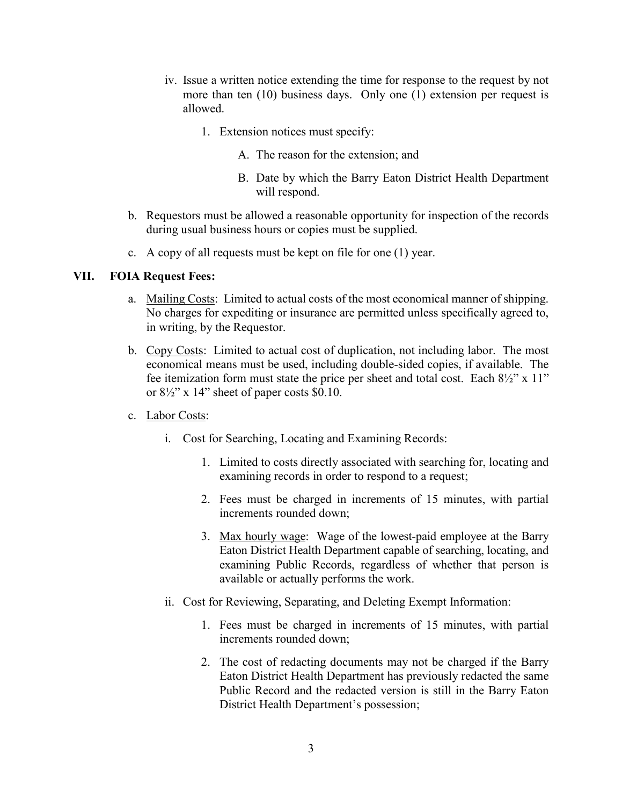- iv. Issue a written notice extending the time for response to the request by not more than ten (10) business days. Only one (1) extension per request is allowed.
	- 1. Extension notices must specify:
		- A. The reason for the extension; and
		- B. Date by which the Barry Eaton District Health Department will respond.
- b. Requestors must be allowed a reasonable opportunity for inspection of the records during usual business hours or copies must be supplied.
- c. A copy of all requests must be kept on file for one (1) year.

### **VII. FOIA Request Fees:**

- a. Mailing Costs: Limited to actual costs of the most economical manner of shipping. No charges for expediting or insurance are permitted unless specifically agreed to, in writing, by the Requestor.
- b. Copy Costs: Limited to actual cost of duplication, not including labor. The most economical means must be used, including double-sided copies, if available. The fee itemization form must state the price per sheet and total cost. Each  $8\frac{1}{2}$ " x 11" or  $8\frac{1}{2}$ " x 14" sheet of paper costs \$0.10.
- c. Labor Costs:
	- i. Cost for Searching, Locating and Examining Records:
		- 1. Limited to costs directly associated with searching for, locating and examining records in order to respond to a request;
		- 2. Fees must be charged in increments of 15 minutes, with partial increments rounded down;
		- 3. Max hourly wage: Wage of the lowest-paid employee at the Barry Eaton District Health Department capable of searching, locating, and examining Public Records, regardless of whether that person is available or actually performs the work.
	- ii. Cost for Reviewing, Separating, and Deleting Exempt Information:
		- 1. Fees must be charged in increments of 15 minutes, with partial increments rounded down;
		- 2. The cost of redacting documents may not be charged if the Barry Eaton District Health Department has previously redacted the same Public Record and the redacted version is still in the Barry Eaton District Health Department's possession;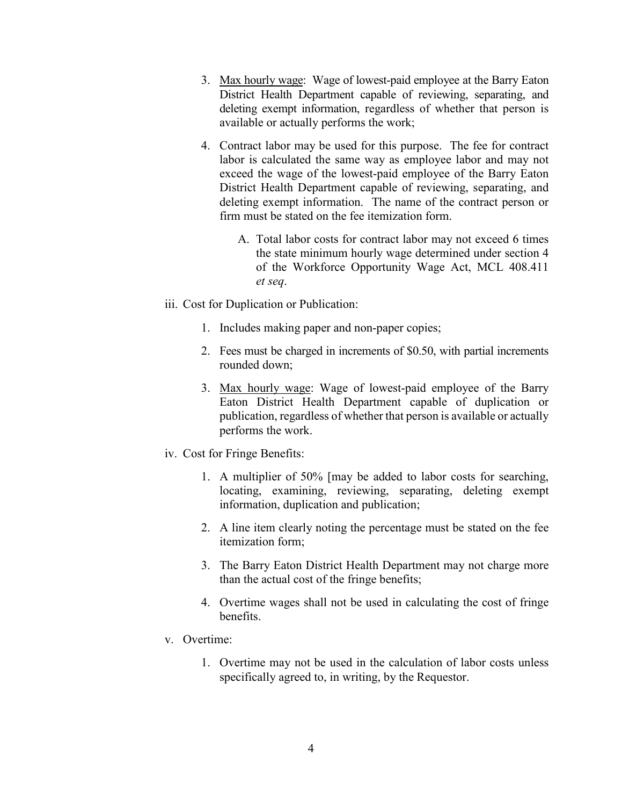- 3. Max hourly wage: Wage of lowest-paid employee at the Barry Eaton District Health Department capable of reviewing, separating, and deleting exempt information, regardless of whether that person is available or actually performs the work;
- 4. Contract labor may be used for this purpose. The fee for contract labor is calculated the same way as employee labor and may not exceed the wage of the lowest-paid employee of the Barry Eaton District Health Department capable of reviewing, separating, and deleting exempt information. The name of the contract person or firm must be stated on the fee itemization form.
	- A. Total labor costs for contract labor may not exceed 6 times the state minimum hourly wage determined under section 4 of the Workforce Opportunity Wage Act, MCL 408.411 *et seq*.
- iii. Cost for Duplication or Publication:
	- 1. Includes making paper and non-paper copies;
	- 2. Fees must be charged in increments of \$0.50, with partial increments rounded down;
	- 3. Max hourly wage: Wage of lowest-paid employee of the Barry Eaton District Health Department capable of duplication or publication, regardless of whether that person is available or actually performs the work.
- iv. Cost for Fringe Benefits:
	- 1. A multiplier of 50% [may be added to labor costs for searching, locating, examining, reviewing, separating, deleting exempt information, duplication and publication;
	- 2. A line item clearly noting the percentage must be stated on the fee itemization form;
	- 3. The Barry Eaton District Health Department may not charge more than the actual cost of the fringe benefits;
	- 4. Overtime wages shall not be used in calculating the cost of fringe benefits.
- v. Overtime:
	- 1. Overtime may not be used in the calculation of labor costs unless specifically agreed to, in writing, by the Requestor.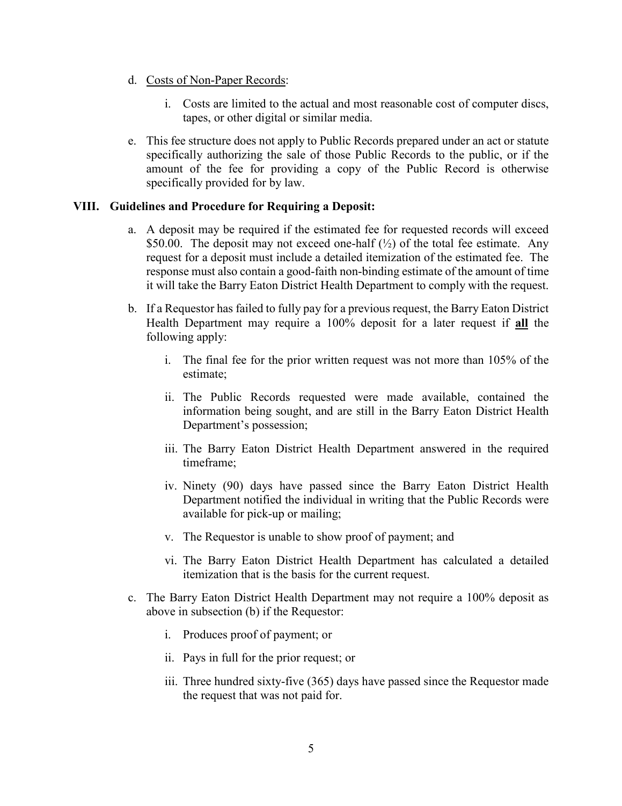- d. Costs of Non-Paper Records:
	- i. Costs are limited to the actual and most reasonable cost of computer discs, tapes, or other digital or similar media.
- e. This fee structure does not apply to Public Records prepared under an act or statute specifically authorizing the sale of those Public Records to the public, or if the amount of the fee for providing a copy of the Public Record is otherwise specifically provided for by law.

# **VIII. Guidelines and Procedure for Requiring a Deposit:**

- a. A deposit may be required if the estimated fee for requested records will exceed \$50.00. The deposit may not exceed one-half  $(\frac{1}{2})$  of the total fee estimate. Any request for a deposit must include a detailed itemization of the estimated fee. The response must also contain a good-faith non-binding estimate of the amount of time it will take the Barry Eaton District Health Department to comply with the request.
- b. If a Requestor has failed to fully pay for a previous request, the Barry Eaton District Health Department may require a 100% deposit for a later request if **all** the following apply:
	- i. The final fee for the prior written request was not more than 105% of the estimate;
	- ii. The Public Records requested were made available, contained the information being sought, and are still in the Barry Eaton District Health Department's possession;
	- iii. The Barry Eaton District Health Department answered in the required timeframe;
	- iv. Ninety (90) days have passed since the Barry Eaton District Health Department notified the individual in writing that the Public Records were available for pick-up or mailing;
	- v. The Requestor is unable to show proof of payment; and
	- vi. The Barry Eaton District Health Department has calculated a detailed itemization that is the basis for the current request.
- c. The Barry Eaton District Health Department may not require a 100% deposit as above in subsection (b) if the Requestor:
	- i. Produces proof of payment; or
	- ii. Pays in full for the prior request; or
	- iii. Three hundred sixty-five (365) days have passed since the Requestor made the request that was not paid for.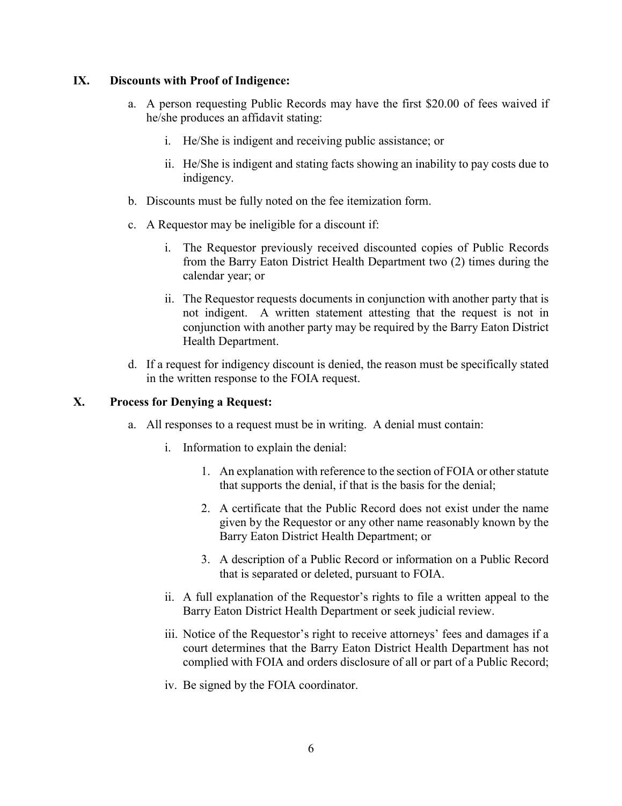# **IX. Discounts with Proof of Indigence:**

- a. A person requesting Public Records may have the first \$20.00 of fees waived if he/she produces an affidavit stating:
	- i. He/She is indigent and receiving public assistance; or
	- ii. He/She is indigent and stating facts showing an inability to pay costs due to indigency.
- b. Discounts must be fully noted on the fee itemization form.
- c. A Requestor may be ineligible for a discount if:
	- i. The Requestor previously received discounted copies of Public Records from the Barry Eaton District Health Department two (2) times during the calendar year; or
	- ii. The Requestor requests documents in conjunction with another party that is not indigent. A written statement attesting that the request is not in conjunction with another party may be required by the Barry Eaton District Health Department.
- d. If a request for indigency discount is denied, the reason must be specifically stated in the written response to the FOIA request.

# **X. Process for Denying a Request:**

- a. All responses to a request must be in writing. A denial must contain:
	- i. Information to explain the denial:
		- 1. An explanation with reference to the section of FOIA or other statute that supports the denial, if that is the basis for the denial;
		- 2. A certificate that the Public Record does not exist under the name given by the Requestor or any other name reasonably known by the Barry Eaton District Health Department; or
		- 3. A description of a Public Record or information on a Public Record that is separated or deleted, pursuant to FOIA.
	- ii. A full explanation of the Requestor's rights to file a written appeal to the Barry Eaton District Health Department or seek judicial review.
	- iii. Notice of the Requestor's right to receive attorneys' fees and damages if a court determines that the Barry Eaton District Health Department has not complied with FOIA and orders disclosure of all or part of a Public Record;
	- iv. Be signed by the FOIA coordinator.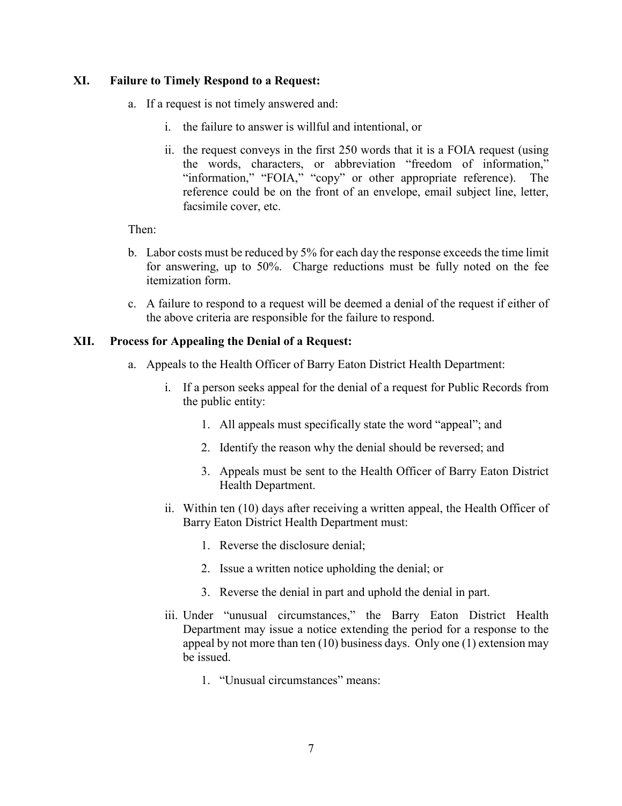# **XI. Failure to Timely Respond to a Request:**

- a. If a request is not timely answered and:
	- i. the failure to answer is willful and intentional, or
	- ii. the request conveys in the first 250 words that it is a FOIA request (using the words, characters, or abbreviation "freedom of information," "information," "FOIA," "copy" or other appropriate reference). The reference could be on the front of an envelope, email subject line, letter, facsimile cover, etc.

Then:

- b. Labor costs must be reduced by 5% for each day the response exceeds the time limit for answering, up to 50%. Charge reductions must be fully noted on the fee itemization form.
- c. A failure to respond to a request will be deemed a denial of the request if either of the above criteria are responsible for the failure to respond.

# **XII. Process for Appealing the Denial of a Request:**

- a. Appeals to the Health Officer of Barry Eaton District Health Department:
	- i. If a person seeks appeal for the denial of a request for Public Records from the public entity:
		- 1. All appeals must specifically state the word "appeal"; and
		- 2. Identify the reason why the denial should be reversed; and
		- 3. Appeals must be sent to the Health Officer of Barry Eaton District Health Department.
	- ii. Within ten (10) days after receiving a written appeal, the Health Officer of Barry Eaton District Health Department must:
		- 1. Reverse the disclosure denial;
		- 2. Issue a written notice upholding the denial; or
		- 3. Reverse the denial in part and uphold the denial in part.
	- iii. Under "unusual circumstances," the Barry Eaton District Health Department may issue a notice extending the period for a response to the appeal by not more than ten (10) business days. Only one (1) extension may be issued.
		- 1. "Unusual circumstances" means: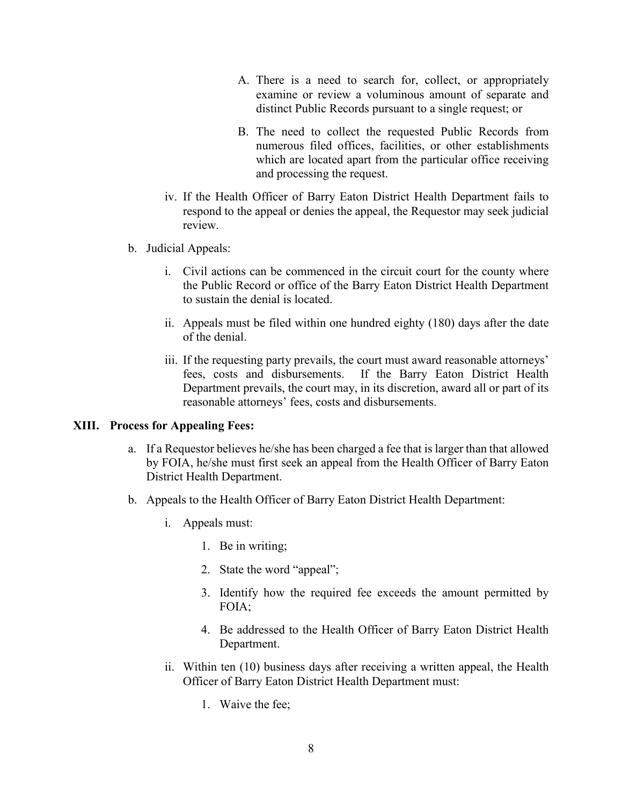- A. There is a need to search for, collect, or appropriately examine or review a voluminous amount of separate and distinct Public Records pursuant to a single request; or
- B. The need to collect the requested Public Records from numerous filed offices, facilities, or other establishments which are located apart from the particular office receiving and processing the request.
- iv. If the Health Officer of Barry Eaton District Health Department fails to respond to the appeal or denies the appeal, the Requestor may seek judicial review.
- b. Judicial Appeals:
	- i. Civil actions can be commenced in the circuit court for the county where the Public Record or office of the Barry Eaton District Health Department to sustain the denial is located.
	- ii. Appeals must be filed within one hundred eighty (180) days after the date of the denial.
	- iii. If the requesting party prevails, the court must award reasonable attorneys' fees, costs and disbursements. If the Barry Eaton District Health Department prevails, the court may, in its discretion, award all or part of its reasonable attorneys' fees, costs and disbursements.

#### **XIII. Process for Appealing Fees:**

- a. If a Requestor believes he/she has been charged a fee that is larger than that allowed by FOIA, he/she must first seek an appeal from the Health Officer of Barry Eaton District Health Department.
- b. Appeals to the Health Officer of Barry Eaton District Health Department:
	- i. Appeals must:
		- 1. Be in writing;
		- 2. State the word "appeal";
		- 3. Identify how the required fee exceeds the amount permitted by FOIA;
		- 4. Be addressed to the Health Officer of Barry Eaton District Health Department.
	- ii. Within ten (10) business days after receiving a written appeal, the Health Officer of Barry Eaton District Health Department must:
		- 1. Waive the fee;